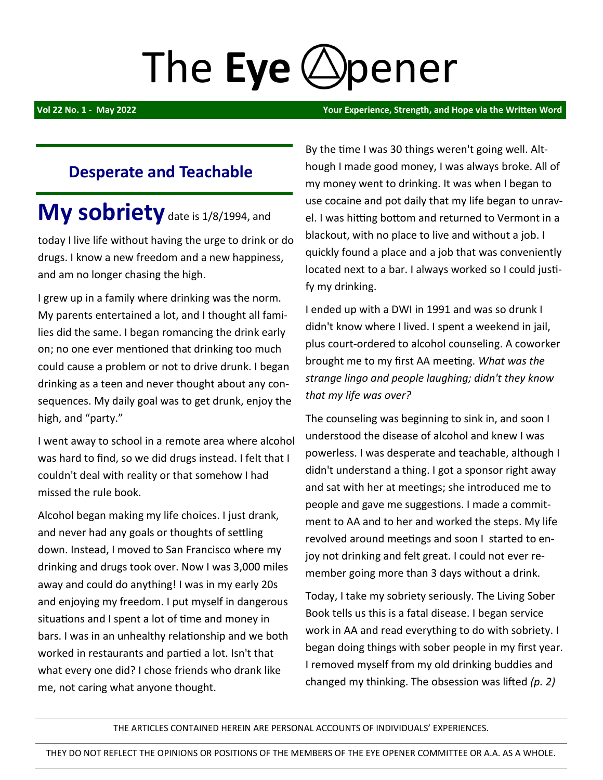# The Eye (A) pener

**Vol 22 No. 1 - May 2022 Your Experience, Strength, and Hope via the Written Word** 

## **Desperate and Teachable**

# My sobriety date is 1/8/1994, and

today I live life without having the urge to drink or do drugs. I know a new freedom and a new happiness, and am no longer chasing the high.

I grew up in a family where drinking was the norm. My parents entertained a lot, and I thought all families did the same. I began romancing the drink early on; no one ever mentioned that drinking too much could cause a problem or not to drive drunk. I began drinking as a teen and never thought about any consequences. My daily goal was to get drunk, enjoy the high, and "party."

I went away to school in a remote area where alcohol was hard to find, so we did drugs instead. I felt that I couldn't deal with reality or that somehow I had missed the rule book.

Alcohol began making my life choices. I just drank, and never had any goals or thoughts of settling down. Instead, I moved to San Francisco where my drinking and drugs took over. Now I was 3,000 miles away and could do anything! I was in my early 20s and enjoying my freedom. I put myself in dangerous situations and I spent a lot of time and money in bars. I was in an unhealthy relationship and we both worked in restaurants and partied a lot. Isn't that what every one did? I chose friends who drank like me, not caring what anyone thought.

By the time I was 30 things weren't going well. Although I made good money, I was always broke. All of my money went to drinking. It was when I began to use cocaine and pot daily that my life began to unravel. I was hitting bottom and returned to Vermont in a blackout, with no place to live and without a job. I quickly found a place and a job that was conveniently located next to a bar. I always worked so I could justify my drinking.

I ended up with a DWI in 1991 and was so drunk I didn't know where I lived. I spent a weekend in jail, plus court-ordered to alcohol counseling. A coworker brought me to my first AA meeting. *What was the strange lingo and people laughing; didn't they know that my life was over?* 

The counseling was beginning to sink in, and soon I understood the disease of alcohol and knew I was powerless. I was desperate and teachable, although I didn't understand a thing. I got a sponsor right away and sat with her at meetings; she introduced me to people and gave me suggestions. I made a commitment to AA and to her and worked the steps. My life revolved around meetings and soon I started to enjoy not drinking and felt great. I could not ever remember going more than 3 days without a drink.

Today, I take my sobriety seriously. The Living Sober Book tells us this is a fatal disease. I began service work in AA and read everything to do with sobriety. I began doing things with sober people in my first year. I removed myself from my old drinking buddies and changed my thinking. The obsession was lifted *(p. 2)*

THE ARTICLES CONTAINED HEREIN ARE PERSONAL ACCOUNTS OF INDIVIDUALS' EXPERIENCES.

THEY DO NOT REFLECT THE OPINIONS OR POSITIONS OF THE MEMBERS OF THE EYE OPENER COMMITTEE OR A.A. AS A WHOLE.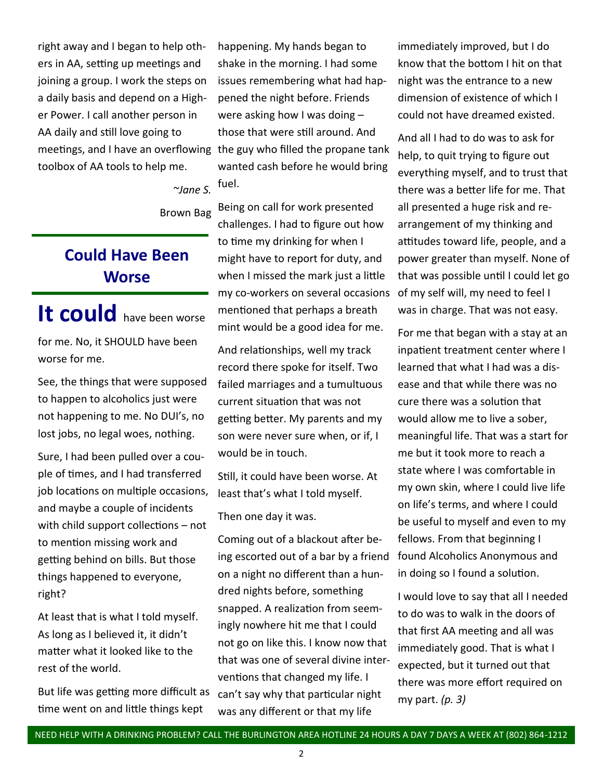right away and I began to help others in AA, setting up meetings and joining a group. I work the steps on a daily basis and depend on a Higher Power. I call another person in AA daily and still love going to meetings, and I have an overflowing the guy who filled the propane tank toolbox of AA tools to help me.

*~Jane S.*

Brown Bag

## **Could Have Been Worse**

# It could have been worse

for me. No, it SHOULD have been worse for me.

See, the things that were supposed to happen to alcoholics just were not happening to me. No DUI's, no lost jobs, no legal woes, nothing.

Sure, I had been pulled over a couple of times, and I had transferred job locations on multiple occasions, and maybe a couple of incidents with child support collections – not to mention missing work and getting behind on bills. But those things happened to everyone, right?

At least that is what I told myself. As long as I believed it, it didn't matter what it looked like to the rest of the world.

But life was getting more difficult as time went on and little things kept

happening. My hands began to shake in the morning. I had some issues remembering what had happened the night before. Friends were asking how I was doing – those that were still around. And wanted cash before he would bring fuel.

Being on call for work presented challenges. I had to figure out how to time my drinking for when I might have to report for duty, and when I missed the mark just a little my co-workers on several occasions of my self will, my need to feel I mentioned that perhaps a breath mint would be a good idea for me.

And relationships, well my track record there spoke for itself. Two failed marriages and a tumultuous current situation that was not getting better. My parents and my son were never sure when, or if, I would be in touch.

Still, it could have been worse. At least that's what I told myself.

Then one day it was.

Coming out of a blackout after being escorted out of a bar by a friend on a night no different than a hundred nights before, something snapped. A realization from seemingly nowhere hit me that I could not go on like this. I know now that that was one of several divine interventions that changed my life. I can't say why that particular night was any different or that my life

immediately improved, but I do know that the bottom I hit on that night was the entrance to a new dimension of existence of which I could not have dreamed existed.

And all I had to do was to ask for help, to quit trying to figure out everything myself, and to trust that there was a better life for me. That all presented a huge risk and rearrangement of my thinking and attitudes toward life, people, and a power greater than myself. None of that was possible until I could let go was in charge. That was not easy.

For me that began with a stay at an inpatient treatment center where I learned that what I had was a disease and that while there was no cure there was a solution that would allow me to live a sober, meaningful life. That was a start for me but it took more to reach a state where I was comfortable in my own skin, where I could live life on life's terms, and where I could be useful to myself and even to my fellows. From that beginning I found Alcoholics Anonymous and in doing so I found a solution.

I would love to say that all I needed to do was to walk in the doors of that first AA meeting and all was immediately good. That is what I expected, but it turned out that there was more effort required on my part. *(p. 3)*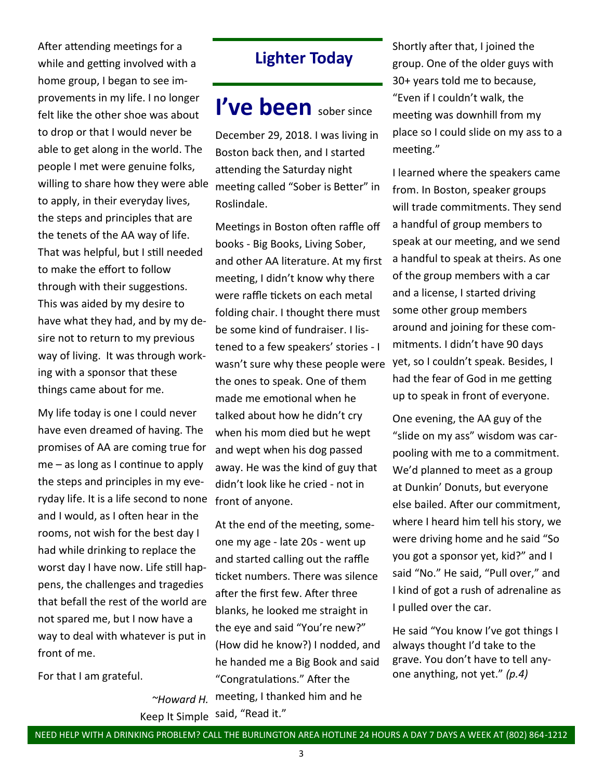After attending meetings for a while and getting involved with a home group, I began to see improvements in my life. I no longer felt like the other shoe was about to drop or that I would never be able to get along in the world. The people I met were genuine folks, willing to share how they were able to apply, in their everyday lives, the steps and principles that are the tenets of the AA way of life. That was helpful, but I still needed to make the effort to follow through with their suggestions. This was aided by my desire to have what they had, and by my desire not to return to my previous way of living. It was through working with a sponsor that these things came about for me.

My life today is one I could never have even dreamed of having. The promises of AA are coming true for me – as long as I continue to apply the steps and principles in my everyday life. It is a life second to none front of anyone. and I would, as I often hear in the rooms, not wish for the best day I had while drinking to replace the worst day I have now. Life still happens, the challenges and tragedies that befall the rest of the world are not spared me, but I now have a way to deal with whatever is put in front of me.

For that I am grateful.

## **Lighter Today**

# **I've been** sober since

December 29, 2018. I was living in Boston back then, and I started attending the Saturday night meeting called "Sober is Better" in Roslindale.

Meetings in Boston often raffle off books - Big Books, Living Sober, and other AA literature. At my first meeting, I didn't know why there were raffle tickets on each metal folding chair. I thought there must be some kind of fundraiser. I listened to a few speakers' stories - I wasn't sure why these people were the ones to speak. One of them made me emotional when he talked about how he didn't cry when his mom died but he wept and wept when his dog passed away. He was the kind of guy that didn't look like he cried - not in

*~Howard H.* meeting, I thanked him and he Keep It Simple said, "Read it." At the end of the meeting, someone my age - late 20s - went up and started calling out the raffle ticket numbers. There was silence after the first few. After three blanks, he looked me straight in the eye and said "You're new?" (How did he know?) I nodded, and he handed me a Big Book and said "Congratulations." After the

Shortly after that, I joined the group. One of the older guys with 30+ years told me to because, "Even if I couldn't walk, the meeting was downhill from my place so I could slide on my ass to a meeting."

I learned where the speakers came from. In Boston, speaker groups will trade commitments. They send a handful of group members to speak at our meeting, and we send a handful to speak at theirs. As one of the group members with a car and a license, I started driving some other group members around and joining for these commitments. I didn't have 90 days yet, so I couldn't speak. Besides, I had the fear of God in me getting up to speak in front of everyone.

One evening, the AA guy of the "slide on my ass" wisdom was carpooling with me to a commitment. We'd planned to meet as a group at Dunkin' Donuts, but everyone else bailed. After our commitment, where I heard him tell his story, we were driving home and he said "So you got a sponsor yet, kid?" and I said "No." He said, "Pull over," and I kind of got a rush of adrenaline as I pulled over the car.

He said "You know I've got things I always thought I'd take to the grave. You don't have to tell anyone anything, not yet." *(p.4)*

#### NEED HELP WITH A DRINKING PROBLEM? CALL THE BURLINGTON AREA HOTLINE 24 HOURS A DAY 7 DAYS A WEEK AT (802) 864-1212